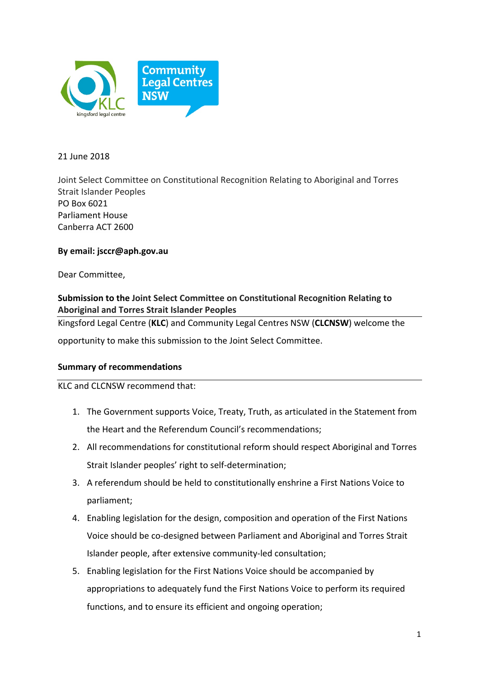

21 June 2018

Joint Select Committee on Constitutional Recognition Relating to Aboriginal and Torres Strait Islander Peoples PO Box 6021 Parliament House Canberra ACT 2600

# **By email: jsccr@aph.gov.au**

Dear Committee.

# **Submission to the Joint Select Committee on Constitutional Recognition Relating to Aboriginal and Torres Strait Islander Peoples**

Kingsford Legal Centre (KLC) and Community Legal Centres NSW (CLCNSW) welcome the

opportunity to make this submission to the Joint Select Committee.

# **Summary of recommendations**

### KLC and CLCNSW recommend that:

- 1. The Government supports Voice, Treaty, Truth, as articulated in the Statement from the Heart and the Referendum Council's recommendations:
- 2. All recommendations for constitutional reform should respect Aboriginal and Torres Strait Islander peoples' right to self-determination;
- 3. A referendum should be held to constitutionally enshrine a First Nations Voice to parliament;
- 4. Enabling legislation for the design, composition and operation of the First Nations Voice should be co-designed between Parliament and Aboriginal and Torres Strait Islander people, after extensive community-led consultation;
- 5. Enabling legislation for the First Nations Voice should be accompanied by appropriations to adequately fund the First Nations Voice to perform its required functions, and to ensure its efficient and ongoing operation;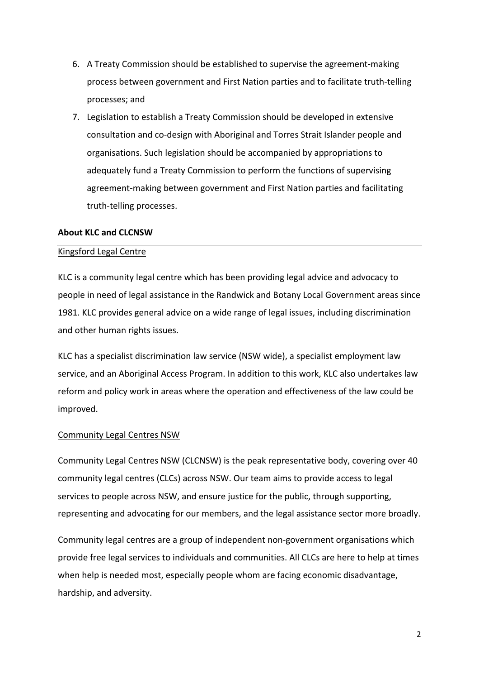- 6. A Treaty Commission should be established to supervise the agreement-making process between government and First Nation parties and to facilitate truth-telling processes; and
- 7. Legislation to establish a Treaty Commission should be developed in extensive consultation and co-design with Aboriginal and Torres Strait Islander people and organisations. Such legislation should be accompanied by appropriations to adequately fund a Treaty Commission to perform the functions of supervising agreement-making between government and First Nation parties and facilitating truth-telling processes.

#### **About KLC and CLCNSW**

### Kingsford Legal Centre

KLC is a community legal centre which has been providing legal advice and advocacy to people in need of legal assistance in the Randwick and Botany Local Government areas since 1981. KLC provides general advice on a wide range of legal issues, including discrimination and other human rights issues.

KLC has a specialist discrimination law service (NSW wide), a specialist employment law service, and an Aboriginal Access Program. In addition to this work, KLC also undertakes law reform and policy work in areas where the operation and effectiveness of the law could be improved. 

#### Community Legal Centres NSW

Community Legal Centres NSW (CLCNSW) is the peak representative body, covering over 40 community legal centres (CLCs) across NSW. Our team aims to provide access to legal services to people across NSW, and ensure justice for the public, through supporting, representing and advocating for our members, and the legal assistance sector more broadly.

Community legal centres are a group of independent non-government organisations which provide free legal services to individuals and communities. All CLCs are here to help at times when help is needed most, especially people whom are facing economic disadvantage, hardship, and adversity.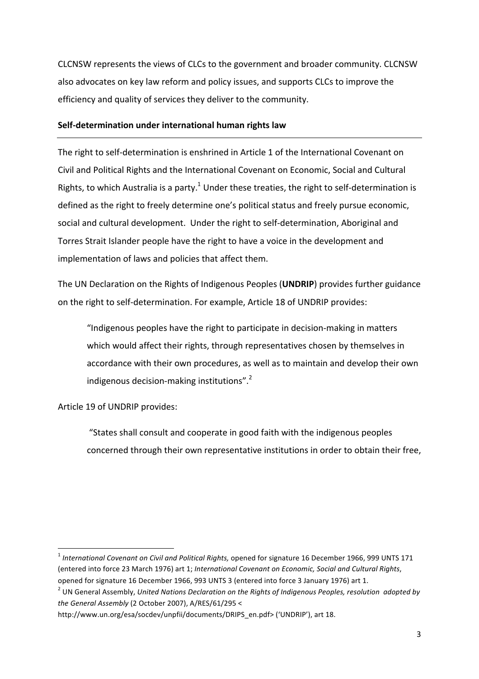CLCNSW represents the views of CLCs to the government and broader community. CLCNSW also advocates on key law reform and policy issues, and supports CLCs to improve the efficiency and quality of services they deliver to the community.

### **Self-determination under international human rights law**

The right to self-determination is enshrined in Article 1 of the International Covenant on Civil and Political Rights and the International Covenant on Economic, Social and Cultural Rights, to which Australia is a party.<sup>1</sup> Under these treaties, the right to self-determination is defined as the right to freely determine one's political status and freely pursue economic, social and cultural development. Under the right to self-determination, Aboriginal and Torres Strait Islander people have the right to have a voice in the development and implementation of laws and policies that affect them.

The UN Declaration on the Rights of Indigenous Peoples (**UNDRIP**) provides further guidance on the right to self-determination. For example, Article 18 of UNDRIP provides:

"Indigenous peoples have the right to participate in decision-making in matters which would affect their rights, through representatives chosen by themselves in accordance with their own procedures, as well as to maintain and develop their own indigenous decision-making institutions".<sup>2</sup>

Article 19 of UNDRIP provides:

 

"States shall consult and cooperate in good faith with the indigenous peoples concerned through their own representative institutions in order to obtain their free,

<sup>&</sup>lt;sup>1</sup> International Covenant on Civil and Political Rights, opened for signature 16 December 1966, 999 UNTS 171 (entered into force 23 March 1976) art 1; *International Covenant on Economic, Social and Cultural Rights*, opened for signature 16 December 1966, 993 UNTS 3 (entered into force 3 January 1976) art 1.

<sup>&</sup>lt;sup>2</sup> UN General Assembly, *United Nations Declaration on the Rights of Indigenous Peoples, resolution adopted by* the General Assembly (2 October 2007), A/RES/61/295 <

http://www.un.org/esa/socdev/unpfii/documents/DRIPS\_en.pdf> ('UNDRIP'), art 18.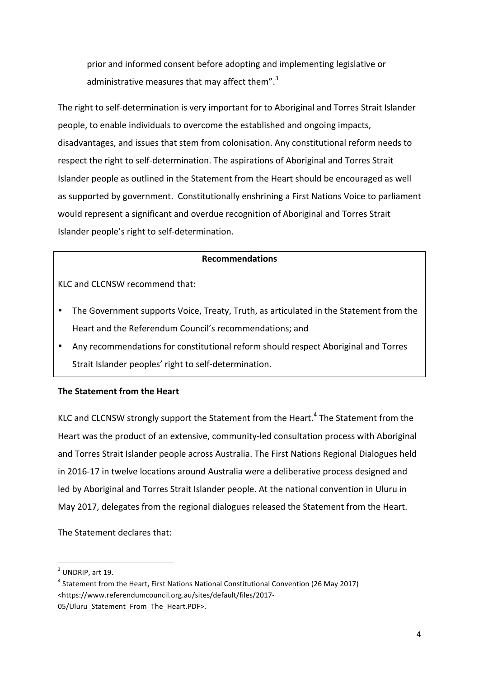prior and informed consent before adopting and implementing legislative or administrative measures that may affect them".<sup>3</sup>

The right to self-determination is very important for to Aboriginal and Torres Strait Islander people, to enable individuals to overcome the established and ongoing impacts, disadvantages, and issues that stem from colonisation. Any constitutional reform needs to respect the right to self-determination. The aspirations of Aboriginal and Torres Strait Islander people as outlined in the Statement from the Heart should be encouraged as well as supported by government. Constitutionally enshrining a First Nations Voice to parliament would represent a significant and overdue recognition of Aboriginal and Torres Strait Islander people's right to self-determination.

# **Recommendations**

KLC and CLCNSW recommend that:

- The Government supports Voice, Treaty, Truth, as articulated in the Statement from the Heart and the Referendum Council's recommendations; and
- Any recommendations for constitutional reform should respect Aboriginal and Torres Strait Islander peoples' right to self-determination.

# **The Statement from the Heart**

KLC and CLCNSW strongly support the Statement from the Heart.<sup>4</sup> The Statement from the Heart was the product of an extensive, community-led consultation process with Aboriginal and Torres Strait Islander people across Australia. The First Nations Regional Dialogues held in 2016-17 in twelve locations around Australia were a deliberative process designed and led by Aboriginal and Torres Strait Islander people. At the national convention in Uluru in May 2017, delegates from the regional dialogues released the Statement from the Heart.

The Statement declares that:

 

 $3$  UNDRIP, art 19.

 $4$  Statement from the Heart, First Nations National Constitutional Convention (26 May 2017) <https://www.referendumcouncil.org.au/sites/default/files/2017- 05/Uluru Statement From The Heart.PDF>.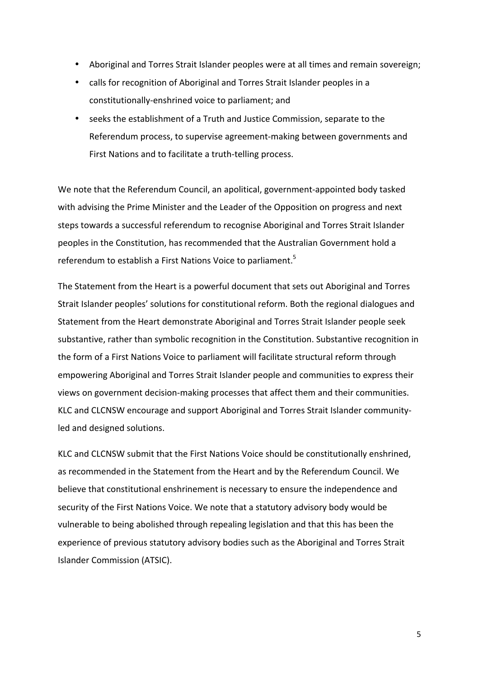- Aboriginal and Torres Strait Islander peoples were at all times and remain sovereign;
- calls for recognition of Aboriginal and Torres Strait Islander peoples in a constitutionally-enshrined voice to parliament; and
- seeks the establishment of a Truth and Justice Commission, separate to the Referendum process, to supervise agreement-making between governments and First Nations and to facilitate a truth-telling process.

We note that the Referendum Council, an apolitical, government-appointed body tasked with advising the Prime Minister and the Leader of the Opposition on progress and next steps towards a successful referendum to recognise Aboriginal and Torres Strait Islander peoples in the Constitution, has recommended that the Australian Government hold a referendum to establish a First Nations Voice to parliament.<sup>5</sup>

The Statement from the Heart is a powerful document that sets out Aboriginal and Torres Strait Islander peoples' solutions for constitutional reform. Both the regional dialogues and Statement from the Heart demonstrate Aboriginal and Torres Strait Islander people seek substantive, rather than symbolic recognition in the Constitution. Substantive recognition in the form of a First Nations Voice to parliament will facilitate structural reform through empowering Aboriginal and Torres Strait Islander people and communities to express their views on government decision-making processes that affect them and their communities. KLC and CLCNSW encourage and support Aboriginal and Torres Strait Islander communityled and designed solutions.

KLC and CLCNSW submit that the First Nations Voice should be constitutionally enshrined, as recommended in the Statement from the Heart and by the Referendum Council. We believe that constitutional enshrinement is necessary to ensure the independence and security of the First Nations Voice. We note that a statutory advisory body would be vulnerable to being abolished through repealing legislation and that this has been the experience of previous statutory advisory bodies such as the Aboriginal and Torres Strait Islander Commission (ATSIC).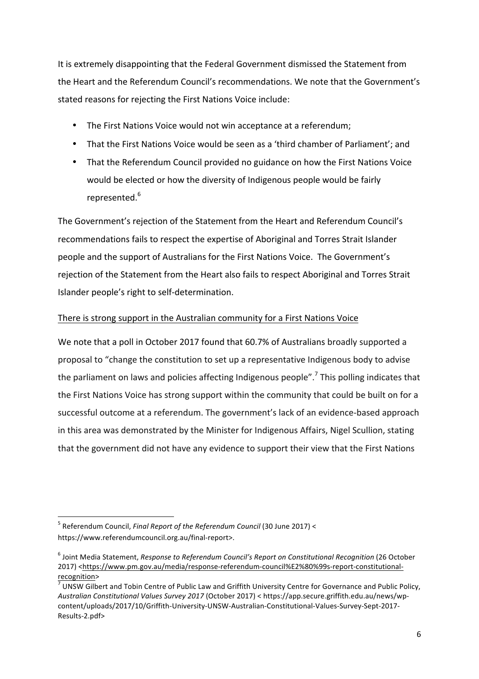It is extremely disappointing that the Federal Government dismissed the Statement from the Heart and the Referendum Council's recommendations. We note that the Government's stated reasons for rejecting the First Nations Voice include:

- The First Nations Voice would not win acceptance at a referendum;
- That the First Nations Voice would be seen as a 'third chamber of Parliament'; and
- That the Referendum Council provided no guidance on how the First Nations Voice would be elected or how the diversity of Indigenous people would be fairly represented.<sup>6</sup>

The Government's rejection of the Statement from the Heart and Referendum Council's recommendations fails to respect the expertise of Aboriginal and Torres Strait Islander people and the support of Australians for the First Nations Voice. The Government's rejection of the Statement from the Heart also fails to respect Aboriginal and Torres Strait Islander people's right to self-determination.

### There is strong support in the Australian community for a First Nations Voice

We note that a poll in October 2017 found that 60.7% of Australians broadly supported a proposal to "change the constitution to set up a representative Indigenous body to advise the parliament on laws and policies affecting Indigenous people".<sup>7</sup> This polling indicates that the First Nations Voice has strong support within the community that could be built on for a successful outcome at a referendum. The government's lack of an evidence-based approach in this area was demonstrated by the Minister for Indigenous Affairs, Nigel Scullion, stating that the government did not have any evidence to support their view that the First Nations

 

<sup>&</sup>lt;sup>5</sup> Referendum Council, *Final Report of the Referendum Council* (30 June 2017) < https://www.referendumcouncil.org.au/final-report>.

<sup>&</sup>lt;sup>6</sup> Joint Media Statement, *Response to Referendum Council's Report on Constitutional Recognition* (26 October 2017) <https://www.pm.gov.au/media/response-referendum-council%E2%80%99s-report-constitutionalrecognition><br> $\frac{7}{100}$  UNSW Gilbert and Tobin Centre of Public Law and Griffith University Centre for Governance and Public Policy,

Australian Constitutional Values Survey 2017 (October 2017) < https://app.secure.griffith.edu.au/news/wpcontent/uploads/2017/10/Griffith-University-UNSW-Australian-Constitutional-Values-Survey-Sept-2017- Results-2.pdf>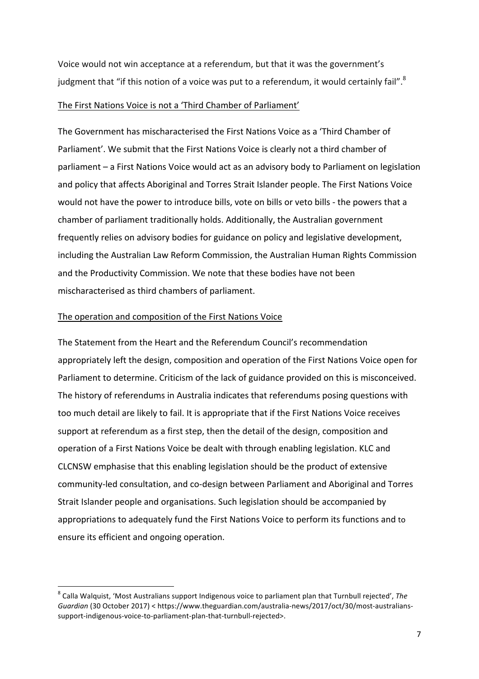Voice would not win acceptance at a referendum, but that it was the government's judgment that "if this notion of a voice was put to a referendum, it would certainly fail".<sup>8</sup>

### The First Nations Voice is not a 'Third Chamber of Parliament'

The Government has mischaracterised the First Nations Voice as a 'Third Chamber of Parliament'. We submit that the First Nations Voice is clearly not a third chamber of parliament – a First Nations Voice would act as an advisory body to Parliament on legislation and policy that affects Aboriginal and Torres Strait Islander people. The First Nations Voice would not have the power to introduce bills, vote on bills or veto bills - the powers that a chamber of parliament traditionally holds. Additionally, the Australian government frequently relies on advisory bodies for guidance on policy and legislative development, including the Australian Law Reform Commission, the Australian Human Rights Commission and the Productivity Commission. We note that these bodies have not been mischaracterised as third chambers of parliament.

### The operation and composition of the First Nations Voice

 

The Statement from the Heart and the Referendum Council's recommendation appropriately left the design, composition and operation of the First Nations Voice open for Parliament to determine. Criticism of the lack of guidance provided on this is misconceived. The history of referendums in Australia indicates that referendums posing questions with too much detail are likely to fail. It is appropriate that if the First Nations Voice receives support at referendum as a first step, then the detail of the design, composition and operation of a First Nations Voice be dealt with through enabling legislation. KLC and CLCNSW emphasise that this enabling legislation should be the product of extensive community-led consultation, and co-design between Parliament and Aboriginal and Torres Strait Islander people and organisations. Such legislation should be accompanied by appropriations to adequately fund the First Nations Voice to perform its functions and to ensure its efficient and ongoing operation.

 $8$  Calla Walquist, 'Most Australians support Indigenous voice to parliament plan that Turnbull rejected', The Guardian (30 October 2017) < https://www.theguardian.com/australia-news/2017/oct/30/most-australianssupport-indigenous-voice-to-parliament-plan-that-turnbull-rejected>.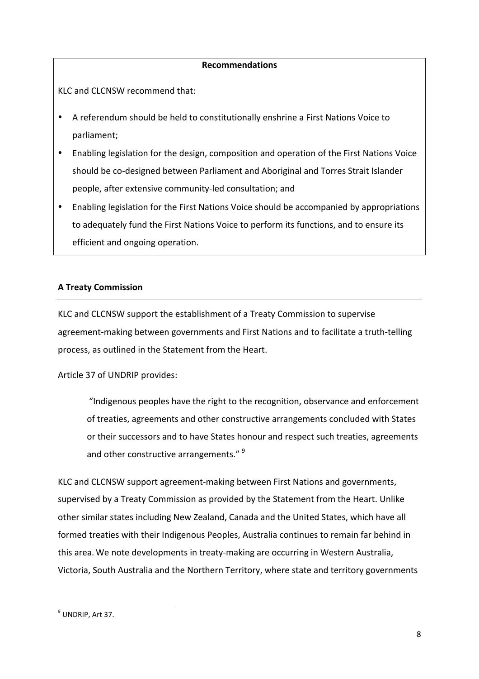### **Recommendations**

KLC and CLCNSW recommend that:

- A referendum should be held to constitutionally enshrine a First Nations Voice to parliament;
- Enabling legislation for the design, composition and operation of the First Nations Voice should be co-designed between Parliament and Aboriginal and Torres Strait Islander people, after extensive community-led consultation; and
- Enabling legislation for the First Nations Voice should be accompanied by appropriations to adequately fund the First Nations Voice to perform its functions, and to ensure its efficient and ongoing operation.

### **A Treaty Commission**

KLC and CLCNSW support the establishment of a Treaty Commission to supervise agreement-making between governments and First Nations and to facilitate a truth-telling process, as outlined in the Statement from the Heart.

Article 37 of UNDRIP provides:

"Indigenous peoples have the right to the recognition, observance and enforcement of treaties, agreements and other constructive arrangements concluded with States or their successors and to have States honour and respect such treaties, agreements and other constructive arrangements." <sup>9</sup>

KLC and CLCNSW support agreement-making between First Nations and governments, supervised by a Treaty Commission as provided by the Statement from the Heart. Unlike other similar states including New Zealand, Canada and the United States, which have all formed treaties with their Indigenous Peoples, Australia continues to remain far behind in this area. We note developments in treaty-making are occurring in Western Australia, Victoria, South Australia and the Northern Territory, where state and territory governments

 

 $<sup>9</sup>$  UNDRIP, Art 37.</sup>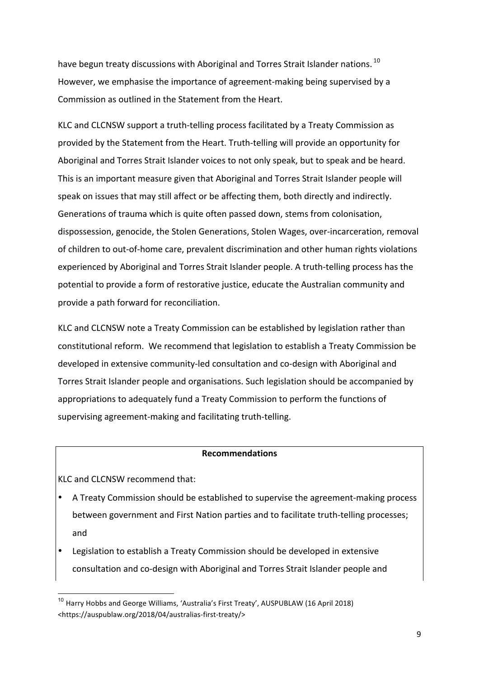have begun treaty discussions with Aboriginal and Torres Strait Islander nations. <sup>10</sup> However, we emphasise the importance of agreement-making being supervised by a Commission as outlined in the Statement from the Heart.

KLC and CLCNSW support a truth-telling process facilitated by a Treaty Commission as provided by the Statement from the Heart. Truth-telling will provide an opportunity for Aboriginal and Torres Strait Islander voices to not only speak, but to speak and be heard. This is an important measure given that Aboriginal and Torres Strait Islander people will speak on issues that may still affect or be affecting them, both directly and indirectly. Generations of trauma which is quite often passed down, stems from colonisation, dispossession, genocide, the Stolen Generations, Stolen Wages, over-incarceration, removal of children to out-of-home care, prevalent discrimination and other human rights violations experienced by Aboriginal and Torres Strait Islander people. A truth-telling process has the potential to provide a form of restorative justice, educate the Australian community and provide a path forward for reconciliation.

KLC and CLCNSW note a Treaty Commission can be established by legislation rather than constitutional reform. We recommend that legislation to establish a Treaty Commission be developed in extensive community-led consultation and co-design with Aboriginal and Torres Strait Islander people and organisations. Such legislation should be accompanied by appropriations to adequately fund a Treaty Commission to perform the functions of supervising agreement-making and facilitating truth-telling.

#### **Recommendations**

KLC and CLCNSW recommend that:

- A Treaty Commission should be established to supervise the agreement-making process between government and First Nation parties and to facilitate truth-telling processes; and
- Legislation to establish a Treaty Commission should be developed in extensive consultation and co-design with Aboriginal and Torres Strait Islander people and

<sup>&</sup>lt;sup>10</sup> Harry Hobbs and George Williams, 'Australia's First Treaty', AUSPUBLAW (16 April 2018) <https://auspublaw.org/2018/04/australias-first-treaty/>